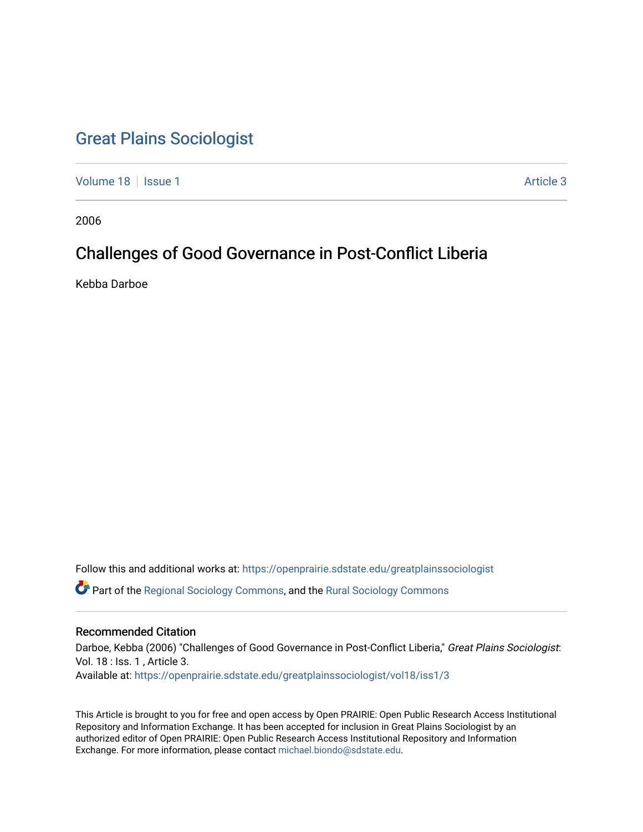# [Great Plains Sociologist](https://openprairie.sdstate.edu/greatplainssociologist)

[Volume 18](https://openprairie.sdstate.edu/greatplainssociologist/vol18) | [Issue 1](https://openprairie.sdstate.edu/greatplainssociologist/vol18/iss1) Article 3

2006

# Challenges of Good Governance in Post-Conflict Liberia

Kebba Darboe

Follow this and additional works at: [https://openprairie.sdstate.edu/greatplainssociologist](https://openprairie.sdstate.edu/greatplainssociologist?utm_source=openprairie.sdstate.edu%2Fgreatplainssociologist%2Fvol18%2Fiss1%2F3&utm_medium=PDF&utm_campaign=PDFCoverPages) 

Part of the [Regional Sociology Commons](http://network.bepress.com/hgg/discipline/427?utm_source=openprairie.sdstate.edu%2Fgreatplainssociologist%2Fvol18%2Fiss1%2F3&utm_medium=PDF&utm_campaign=PDFCoverPages), and the [Rural Sociology Commons](http://network.bepress.com/hgg/discipline/428?utm_source=openprairie.sdstate.edu%2Fgreatplainssociologist%2Fvol18%2Fiss1%2F3&utm_medium=PDF&utm_campaign=PDFCoverPages) 

## Recommended Citation

Darboe, Kebba (2006) "Challenges of Good Governance in Post-Conflict Liberia," Great Plains Sociologist: Vol. 18 : Iss. 1 , Article 3. Available at: [https://openprairie.sdstate.edu/greatplainssociologist/vol18/iss1/3](https://openprairie.sdstate.edu/greatplainssociologist/vol18/iss1/3?utm_source=openprairie.sdstate.edu%2Fgreatplainssociologist%2Fvol18%2Fiss1%2F3&utm_medium=PDF&utm_campaign=PDFCoverPages)

This Article is brought to you for free and open access by Open PRAIRIE: Open Public Research Access Institutional Repository and Information Exchange. It has been accepted for inclusion in Great Plains Sociologist by an authorized editor of Open PRAIRIE: Open Public Research Access Institutional Repository and Information Exchange. For more information, please contact [michael.biondo@sdstate.edu.](mailto:michael.biondo@sdstate.edu)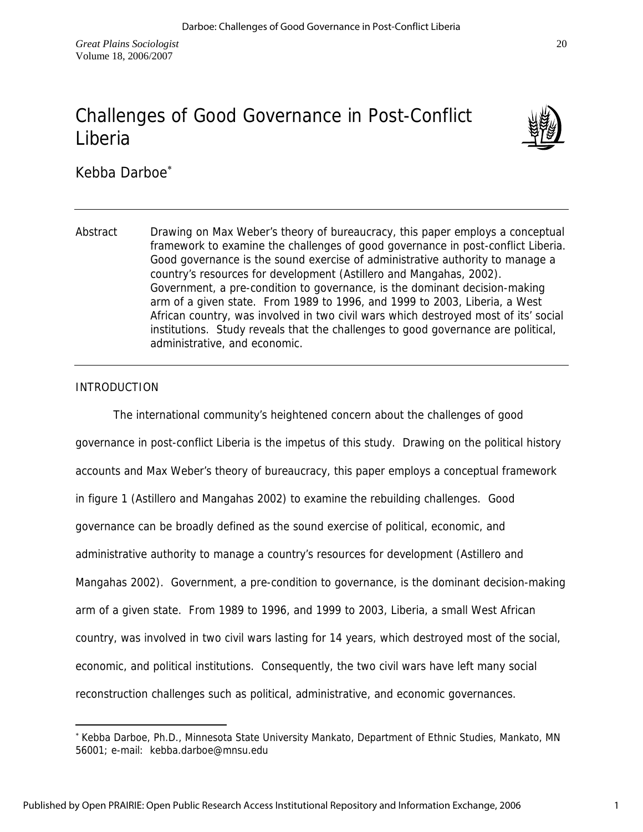# Challenges of Good Governance in Post-Conflict Liberia



Kebba Darboe<sup>\*</sup>

Abstract Drawing on Max Weber's theory of bureaucracy, this paper employs a conceptual framework to examine the challenges of good governance in post-conflict Liberia. Good governance is the sound exercise of administrative authority to manage a country's resources for development (Astillero and Mangahas, 2002). Government, a pre-condition to governance, is the dominant decision-making arm of a given state. From 1989 to 1996, and 1999 to 2003, Liberia, a West African country, was involved in two civil wars which destroyed most of its' social institutions. Study reveals that the challenges to good governance are political, administrative, and economic.

# INTRODUCTION

 $\overline{a}$ 

 The international community's heightened concern about the challenges of good governance in post-conflict Liberia is the impetus of this study. Drawing on the political history accounts and Max Weber's theory of bureaucracy, this paper employs a conceptual framework in figure 1 (Astillero and Mangahas 2002) to examine the rebuilding challenges. Good governance can be broadly defined as the sound exercise of political, economic, and administrative authority to manage a country's resources for development (Astillero and Mangahas 2002). Government, a pre-condition to governance, is the dominant decision-making arm of a given state. From 1989 to 1996, and 1999 to 2003, Liberia, a small West African country, was involved in two civil wars lasting for 14 years, which destroyed most of the social, economic, and political institutions. Consequently, the two civil wars have left many social reconstruction challenges such as political, administrative, and economic governances.

<sup>∗</sup> Kebba Darboe, Ph.D., Minnesota State University Mankato, Department of Ethnic Studies, Mankato, MN 56001; e-mail: kebba.darboe@mnsu.edu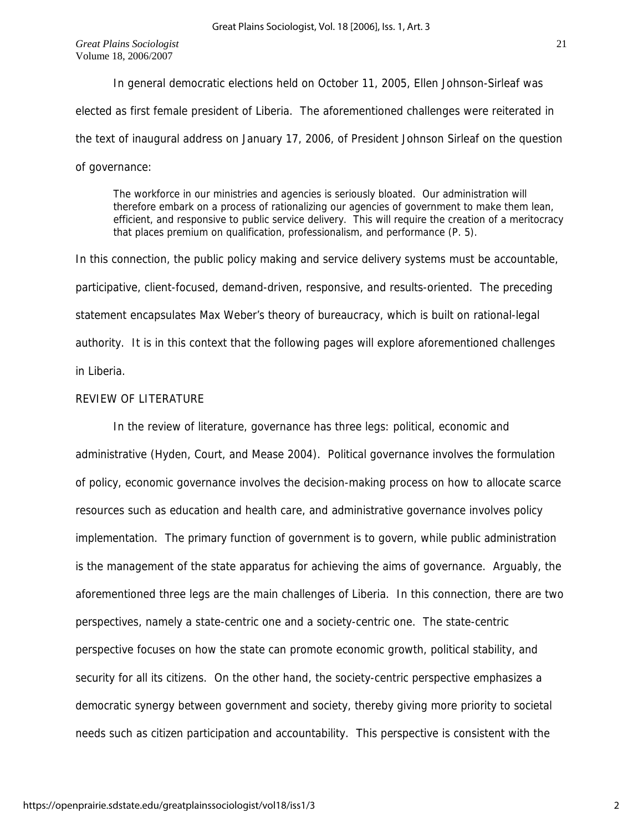In general democratic elections held on October 11, 2005, Ellen Johnson-Sirleaf was elected as first female president of Liberia. The aforementioned challenges were reiterated in the text of inaugural address on January 17, 2006, of President Johnson Sirleaf on the question of governance:

The workforce in our ministries and agencies is seriously bloated. Our administration will therefore embark on a process of rationalizing our agencies of government to make them lean, efficient, and responsive to public service delivery. This will require the creation of a meritocracy that places premium on qualification, professionalism, and performance (P. 5).

In this connection, the public policy making and service delivery systems must be accountable, participative, client-focused, demand-driven, responsive, and results-oriented. The preceding statement encapsulates Max Weber's theory of bureaucracy, which is built on rational-legal authority. It is in this context that the following pages will explore aforementioned challenges in Liberia.

# REVIEW OF LITERATURE

 In the review of literature, governance has three legs: political, economic and administrative (Hyden, Court, and Mease 2004). Political governance involves the formulation of policy, economic governance involves the decision-making process on how to allocate scarce resources such as education and health care, and administrative governance involves policy implementation. The primary function of government is to govern, while public administration is the management of the state apparatus for achieving the aims of governance. Arguably, the aforementioned three legs are the main challenges of Liberia. In this connection, there are two perspectives, namely a state-centric one and a society-centric one. The state-centric perspective focuses on how the state can promote economic growth, political stability, and security for all its citizens. On the other hand, the society-centric perspective emphasizes a democratic synergy between government and society, thereby giving more priority to societal needs such as citizen participation and accountability. This perspective is consistent with the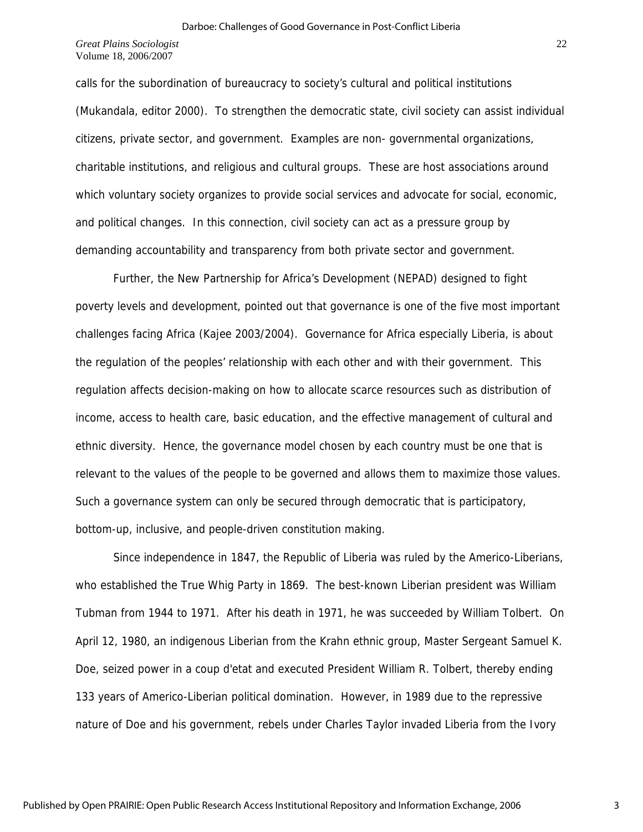calls for the subordination of bureaucracy to society's cultural and political institutions (Mukandala, editor 2000). To strengthen the democratic state, civil society can assist individual citizens, private sector, and government. Examples are non- governmental organizations, charitable institutions, and religious and cultural groups. These are host associations around which voluntary society organizes to provide social services and advocate for social, economic, and political changes. In this connection, civil society can act as a pressure group by demanding accountability and transparency from both private sector and government.

 Further, the New Partnership for Africa's Development (NEPAD) designed to fight poverty levels and development, pointed out that governance is one of the five most important challenges facing Africa (Kajee 2003/2004). Governance for Africa especially Liberia, is about the regulation of the peoples' relationship with each other and with their government. This regulation affects decision-making on how to allocate scarce resources such as distribution of income, access to health care, basic education, and the effective management of cultural and ethnic diversity. Hence, the governance model chosen by each country must be one that is relevant to the values of the people to be governed and allows them to maximize those values. Such a governance system can only be secured through democratic that is participatory, bottom-up, inclusive, and people-driven constitution making.

 Since independence in 1847, the Republic of Liberia was ruled by the Americo-Liberians, who established the True Whig Party in 1869. The best-known Liberian president was William Tubman from 1944 to 1971. After his death in 1971, he was succeeded by William Tolbert. On April 12, 1980, an indigenous Liberian from the Krahn ethnic group, Master Sergeant Samuel K. Doe, seized power in a coup d'etat and executed President William R. Tolbert, thereby ending 133 years of Americo-Liberian political domination. However, in 1989 due to the repressive nature of Doe and his government, rebels under Charles Taylor invaded Liberia from the Ivory

3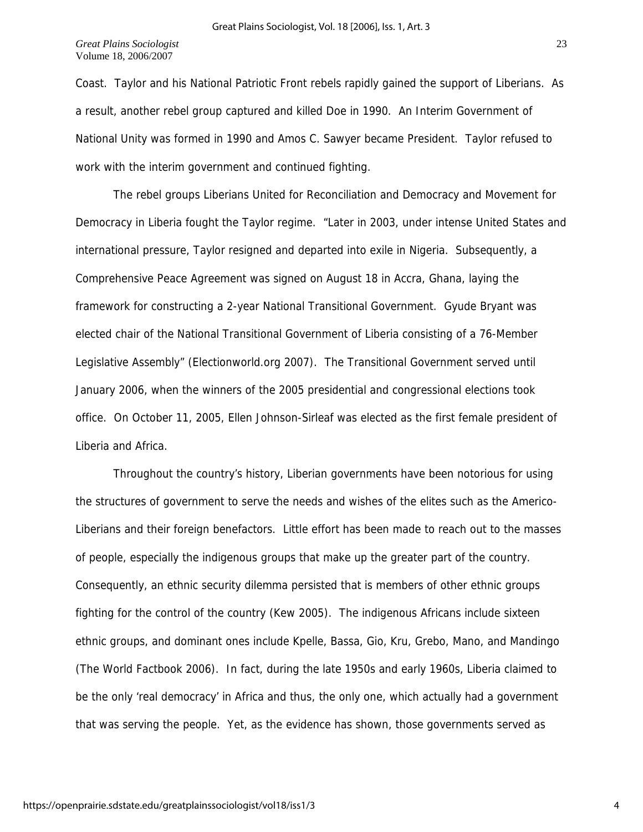Coast. Taylor and his National Patriotic Front rebels rapidly gained the support of Liberians. As a result, another rebel group captured and killed Doe in 1990. An Interim Government of National Unity was formed in 1990 and Amos C. Sawyer became President. Taylor refused to work with the interim government and continued fighting.

 The rebel groups Liberians United for Reconciliation and Democracy and Movement for Democracy in Liberia fought the Taylor regime. "Later in 2003, under intense United States and international pressure, Taylor resigned and departed into exile in Nigeria. Subsequently, a Comprehensive Peace Agreement was signed on August 18 in Accra, Ghana, laying the framework for constructing a 2-year National Transitional Government. Gyude Bryant was elected chair of the National Transitional Government of Liberia consisting of a 76-Member Legislative Assembly" (Electionworld.org 2007). The Transitional Government served until January 2006, when the winners of the 2005 presidential and congressional elections took office. On October 11, 2005, Ellen Johnson-Sirleaf was elected as the first female president of Liberia and Africa.

Throughout the country's history, Liberian governments have been notorious for using the structures of government to serve the needs and wishes of the elites such as the Americo-Liberians and their foreign benefactors. Little effort has been made to reach out to the masses of people, especially the indigenous groups that make up the greater part of the country. Consequently, an ethnic security dilemma persisted that is members of other ethnic groups fighting for the control of the country (Kew 2005). The indigenous Africans include sixteen ethnic groups, and dominant ones include Kpelle, Bassa, Gio, Kru, Grebo, Mano, and Mandingo (The World Factbook 2006). In fact, during the late 1950s and early 1960s, Liberia claimed to be the only 'real democracy' in Africa and thus, the only one, which actually had a government that was serving the people. Yet, as the evidence has shown, those governments served as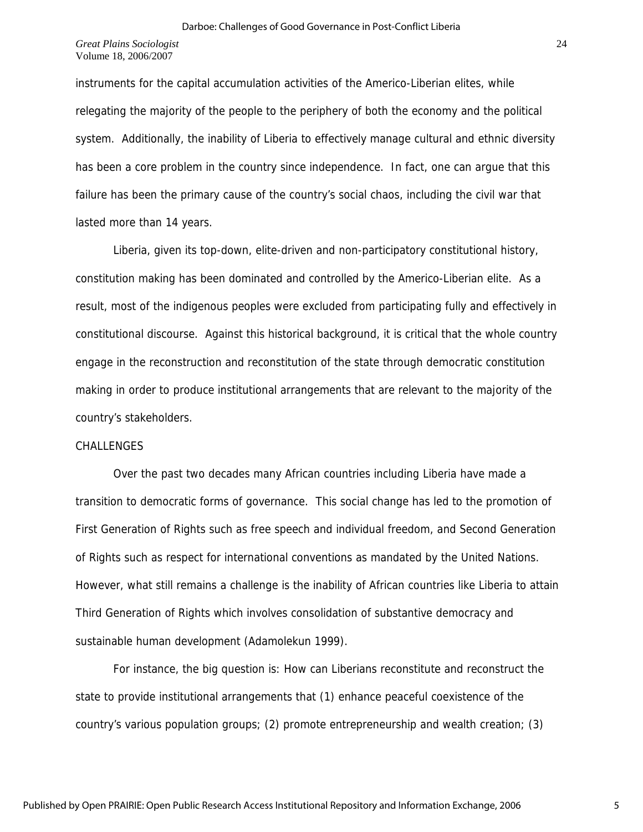instruments for the capital accumulation activities of the Americo-Liberian elites, while relegating the majority of the people to the periphery of both the economy and the political system. Additionally, the inability of Liberia to effectively manage cultural and ethnic diversity has been a core problem in the country since independence. In fact, one can argue that this failure has been the primary cause of the country's social chaos, including the civil war that lasted more than 14 years.

 Liberia, given its top-down, elite-driven and non-participatory constitutional history, constitution making has been dominated and controlled by the Americo-Liberian elite. As a result, most of the indigenous peoples were excluded from participating fully and effectively in constitutional discourse. Against this historical background, it is critical that the whole country engage in the reconstruction and reconstitution of the state through democratic constitution making in order to produce institutional arrangements that are relevant to the majority of the country's stakeholders.

#### CHALLENGES

 Over the past two decades many African countries including Liberia have made a transition to democratic forms of governance. This social change has led to the promotion of First Generation of Rights such as free speech and individual freedom, and Second Generation of Rights such as respect for international conventions as mandated by the United Nations. However, what still remains a challenge is the inability of African countries like Liberia to attain Third Generation of Rights which involves consolidation of substantive democracy and sustainable human development (Adamolekun 1999).

 For instance, the big question is: How can Liberians reconstitute and reconstruct the state to provide institutional arrangements that (1) enhance peaceful coexistence of the country's various population groups; (2) promote entrepreneurship and wealth creation; (3)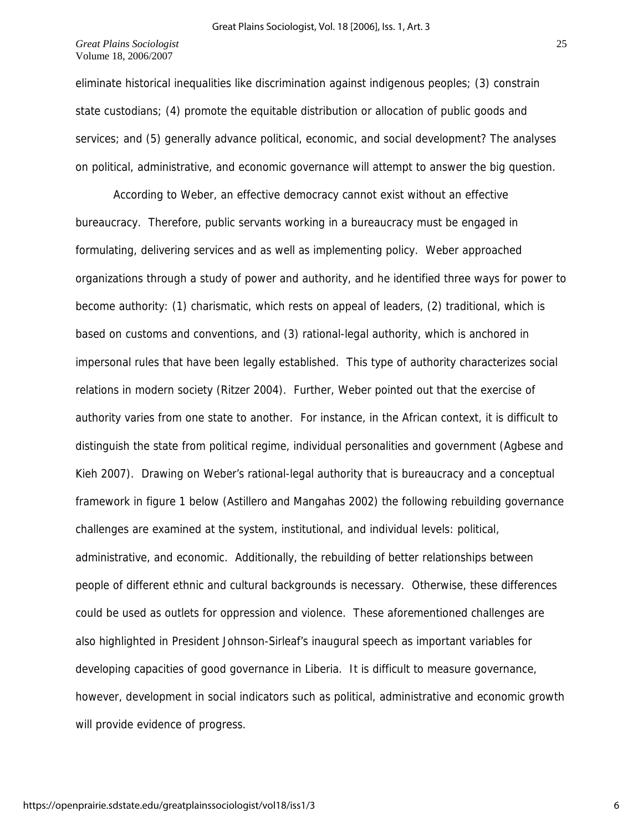eliminate historical inequalities like discrimination against indigenous peoples; (3) constrain state custodians; (4) promote the equitable distribution or allocation of public goods and services; and (5) generally advance political, economic, and social development? The analyses on political, administrative, and economic governance will attempt to answer the big question.

 According to Weber, an effective democracy cannot exist without an effective bureaucracy. Therefore, public servants working in a bureaucracy must be engaged in formulating, delivering services and as well as implementing policy. Weber approached organizations through a study of power and authority, and he identified three ways for power to become authority: (1) charismatic, which rests on appeal of leaders, (2) traditional, which is based on customs and conventions, and (3) rational-legal authority, which is anchored in impersonal rules that have been legally established. This type of authority characterizes social relations in modern society (Ritzer 2004). Further, Weber pointed out that the exercise of authority varies from one state to another. For instance, in the African context, it is difficult to distinguish the state from political regime, individual personalities and government (Agbese and Kieh 2007). Drawing on Weber's rational-legal authority that is bureaucracy and a conceptual framework in figure 1 below (Astillero and Mangahas 2002) the following rebuilding governance challenges are examined at the system, institutional, and individual levels: political, administrative, and economic. Additionally, the rebuilding of better relationships between people of different ethnic and cultural backgrounds is necessary. Otherwise, these differences could be used as outlets for oppression and violence. These aforementioned challenges are also highlighted in President Johnson-Sirleaf's inaugural speech as important variables for developing capacities of good governance in Liberia. It is difficult to measure governance, however, development in social indicators such as political, administrative and economic growth will provide evidence of progress.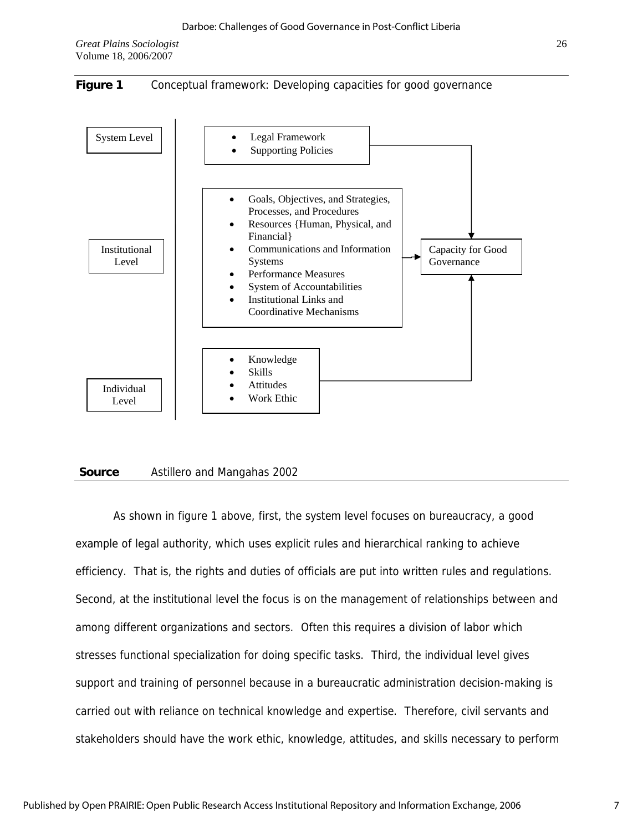



#### **Source** Astillero and Mangahas 2002

 As shown in figure 1 above, first, the system level focuses on bureaucracy, a good example of legal authority, which uses explicit rules and hierarchical ranking to achieve efficiency. That is, the rights and duties of officials are put into written rules and regulations. Second, at the institutional level the focus is on the management of relationships between and among different organizations and sectors. Often this requires a division of labor which stresses functional specialization for doing specific tasks. Third, the individual level gives support and training of personnel because in a bureaucratic administration decision-making is carried out with reliance on technical knowledge and expertise. Therefore, civil servants and stakeholders should have the work ethic, knowledge, attitudes, and skills necessary to perform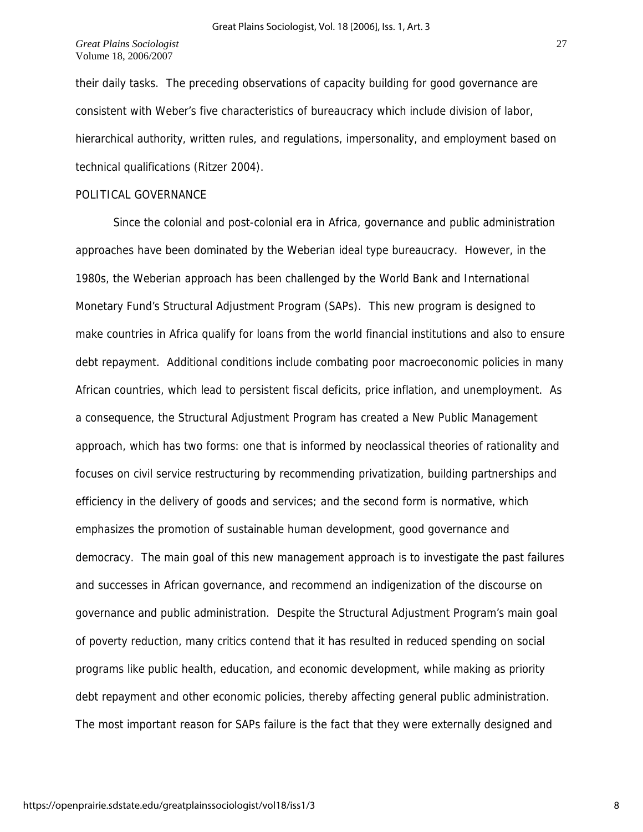their daily tasks. The preceding observations of capacity building for good governance are consistent with Weber's five characteristics of bureaucracy which include division of labor, hierarchical authority, written rules, and regulations, impersonality, and employment based on technical qualifications (Ritzer 2004).

#### POLITICAL GOVERNANCE

 Since the colonial and post-colonial era in Africa, governance and public administration approaches have been dominated by the Weberian ideal type bureaucracy. However, in the 1980s, the Weberian approach has been challenged by the World Bank and International Monetary Fund's Structural Adjustment Program (SAPs). This new program is designed to make countries in Africa qualify for loans from the world financial institutions and also to ensure debt repayment. Additional conditions include combating poor macroeconomic policies in many African countries, which lead to persistent fiscal deficits, price inflation, and unemployment. As a consequence, the Structural Adjustment Program has created a New Public Management approach, which has two forms: one that is informed by neoclassical theories of rationality and focuses on civil service restructuring by recommending privatization, building partnerships and efficiency in the delivery of goods and services; and the second form is normative, which emphasizes the promotion of sustainable human development, good governance and democracy. The main goal of this new management approach is to investigate the past failures and successes in African governance, and recommend an indigenization of the discourse on governance and public administration. Despite the Structural Adjustment Program's main goal of poverty reduction, many critics contend that it has resulted in reduced spending on social programs like public health, education, and economic development, while making as priority debt repayment and other economic policies, thereby affecting general public administration. The most important reason for SAPs failure is the fact that they were externally designed and

8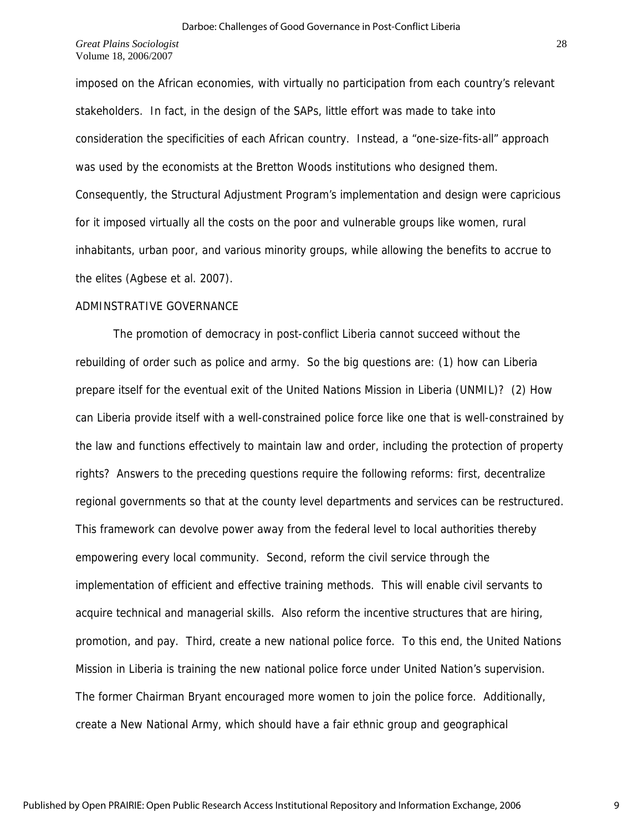imposed on the African economies, with virtually no participation from each country's relevant stakeholders. In fact, in the design of the SAPs, little effort was made to take into consideration the specificities of each African country. Instead, a "one-size-fits-all" approach was used by the economists at the Bretton Woods institutions who designed them. Consequently, the Structural Adjustment Program's implementation and design were capricious for it imposed virtually all the costs on the poor and vulnerable groups like women, rural inhabitants, urban poor, and various minority groups, while allowing the benefits to accrue to the elites (Agbese et al. 2007).

## ADMINSTRATIVE GOVERNANCE

 The promotion of democracy in post-conflict Liberia cannot succeed without the rebuilding of order such as police and army. So the big questions are: (1) how can Liberia prepare itself for the eventual exit of the United Nations Mission in Liberia (UNMIL)? (2) How can Liberia provide itself with a well-constrained police force like one that is well-constrained by the law and functions effectively to maintain law and order, including the protection of property rights? Answers to the preceding questions require the following reforms: first, decentralize regional governments so that at the county level departments and services can be restructured. This framework can devolve power away from the federal level to local authorities thereby empowering every local community. Second, reform the civil service through the implementation of efficient and effective training methods. This will enable civil servants to acquire technical and managerial skills. Also reform the incentive structures that are hiring, promotion, and pay. Third, create a new national police force. To this end, the United Nations Mission in Liberia is training the new national police force under United Nation's supervision. The former Chairman Bryant encouraged more women to join the police force. Additionally, create a New National Army, which should have a fair ethnic group and geographical

9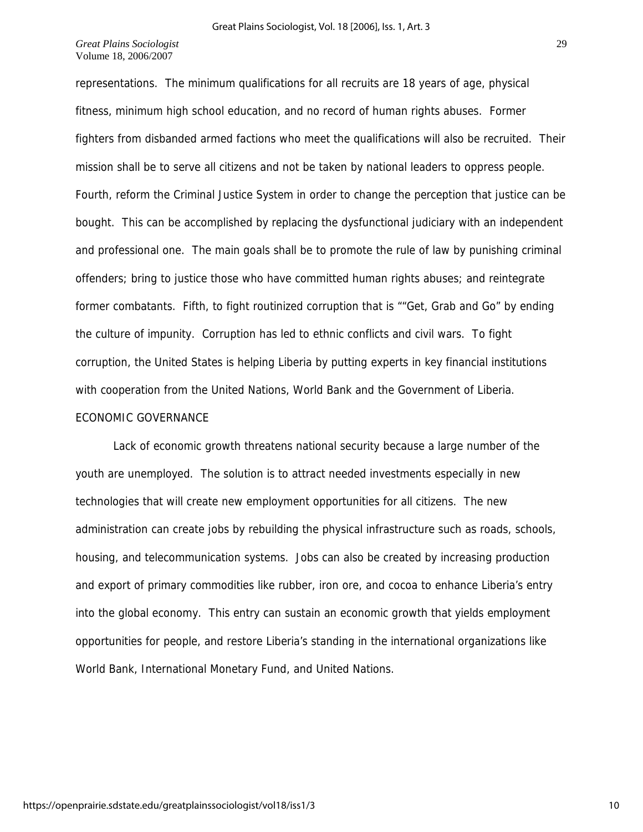representations. The minimum qualifications for all recruits are 18 years of age, physical fitness, minimum high school education, and no record of human rights abuses. Former fighters from disbanded armed factions who meet the qualifications will also be recruited. Their mission shall be to serve all citizens and not be taken by national leaders to oppress people. Fourth, reform the Criminal Justice System in order to change the perception that justice can be bought. This can be accomplished by replacing the dysfunctional judiciary with an independent and professional one. The main goals shall be to promote the rule of law by punishing criminal offenders; bring to justice those who have committed human rights abuses; and reintegrate former combatants. Fifth, to fight routinized corruption that is ""Get, Grab and Go" by ending the culture of impunity. Corruption has led to ethnic conflicts and civil wars. To fight corruption, the United States is helping Liberia by putting experts in key financial institutions with cooperation from the United Nations, World Bank and the Government of Liberia. ECONOMIC GOVERNANCE

 Lack of economic growth threatens national security because a large number of the youth are unemployed. The solution is to attract needed investments especially in new technologies that will create new employment opportunities for all citizens. The new administration can create jobs by rebuilding the physical infrastructure such as roads, schools, housing, and telecommunication systems. Jobs can also be created by increasing production and export of primary commodities like rubber, iron ore, and cocoa to enhance Liberia's entry into the global economy. This entry can sustain an economic growth that yields employment opportunities for people, and restore Liberia's standing in the international organizations like World Bank, International Monetary Fund, and United Nations.

10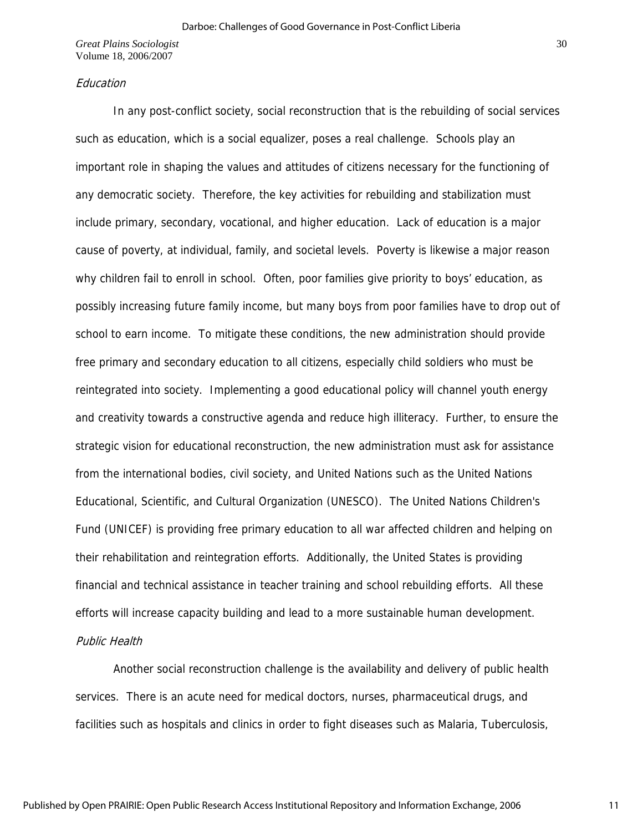#### Education

 In any post-conflict society, social reconstruction that is the rebuilding of social services such as education, which is a social equalizer, poses a real challenge. Schools play an important role in shaping the values and attitudes of citizens necessary for the functioning of any democratic society. Therefore, the key activities for rebuilding and stabilization must include primary, secondary, vocational, and higher education. Lack of education is a major cause of poverty, at individual, family, and societal levels. Poverty is likewise a major reason why children fail to enroll in school. Often, poor families give priority to boys' education, as possibly increasing future family income, but many boys from poor families have to drop out of school to earn income. To mitigate these conditions, the new administration should provide free primary and secondary education to all citizens, especially child soldiers who must be reintegrated into society. Implementing a good educational policy will channel youth energy and creativity towards a constructive agenda and reduce high illiteracy. Further, to ensure the strategic vision for educational reconstruction, the new administration must ask for assistance from the international bodies, civil society, and United Nations such as the United Nations Educational, Scientific, and Cultural Organization (UNESCO). The United Nations Children's Fund (UNICEF) is providing free primary education to all war affected children and helping on their rehabilitation and reintegration efforts. Additionally, the United States is providing financial and technical assistance in teacher training and school rebuilding efforts. All these efforts will increase capacity building and lead to a more sustainable human development.

# Public Health

 Another social reconstruction challenge is the availability and delivery of public health services. There is an acute need for medical doctors, nurses, pharmaceutical drugs, and facilities such as hospitals and clinics in order to fight diseases such as Malaria, Tuberculosis,

11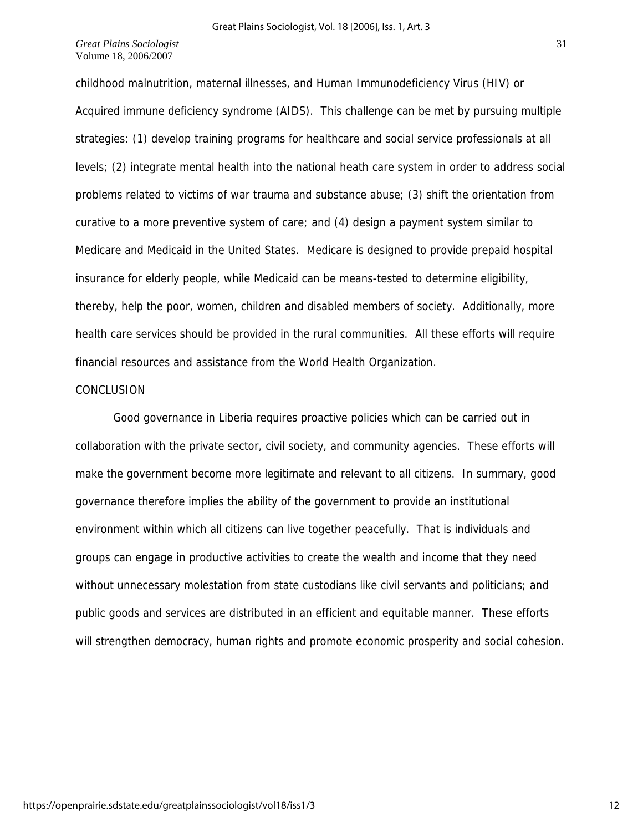childhood malnutrition, maternal illnesses, and Human Immunodeficiency Virus (HIV) or Acquired immune deficiency syndrome (AIDS). This challenge can be met by pursuing multiple strategies: (1) develop training programs for healthcare and social service professionals at all levels; (2) integrate mental health into the national heath care system in order to address social problems related to victims of war trauma and substance abuse; (3) shift the orientation from curative to a more preventive system of care; and (4) design a payment system similar to Medicare and Medicaid in the United States. Medicare is designed to provide prepaid hospital insurance for elderly people, while Medicaid can be means-tested to determine eligibility, thereby, help the poor, women, children and disabled members of society. Additionally, more health care services should be provided in the rural communities. All these efforts will require financial resources and assistance from the World Health Organization.

## CONCLUSION

 Good governance in Liberia requires proactive policies which can be carried out in collaboration with the private sector, civil society, and community agencies. These efforts will make the government become more legitimate and relevant to all citizens. In summary, good governance therefore implies the ability of the government to provide an institutional environment within which all citizens can live together peacefully. That is individuals and groups can engage in productive activities to create the wealth and income that they need without unnecessary molestation from state custodians like civil servants and politicians; and public goods and services are distributed in an efficient and equitable manner. These efforts will strengthen democracy, human rights and promote economic prosperity and social cohesion.

https://openprairie.sdstate.edu/greatplainssociologist/vol18/iss1/3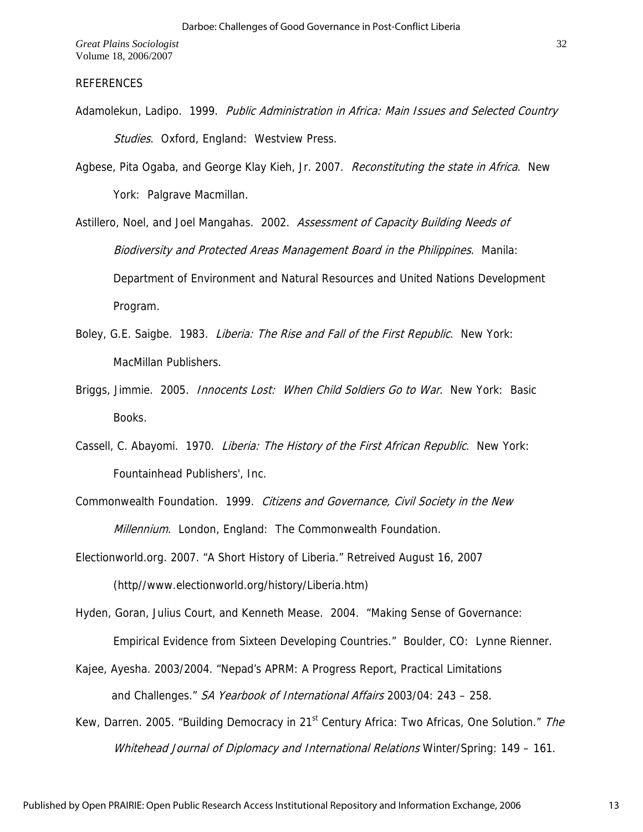# REFERENCES

- Adamolekun, Ladipo. 1999. Public Administration in Africa: Main Issues and Selected Country Studies. Oxford, England: Westview Press.
- Agbese, Pita Ogaba, and George Klay Kieh, Jr. 2007. Reconstituting the state in Africa. New York: Palgrave Macmillan.

Astillero, Noel, and Joel Mangahas. 2002. Assessment of Capacity Building Needs of Biodiversity and Protected Areas Management Board in the Philippines. Manila: Department of Environment and Natural Resources and United Nations Development Program.

- Boley, G.E. Saigbe. 1983. Liberia: The Rise and Fall of the First Republic. New York: MacMillan Publishers.
- Briggs, Jimmie. 2005. *Innocents Lost: When Child Soldiers Go to War*. New York: Basic Books.
- Cassell, C. Abayomi. 1970. Liberia: The History of the First African Republic. New York: Fountainhead Publishers', Inc.

Commonwealth Foundation. 1999. Citizens and Governance, Civil Society in the New Millennium. London, England: The Commonwealth Foundation.

Electionworld.org. 2007. "A Short History of Liberia." Retreived August 16, 2007 (http//www.electionworld.org/history/Liberia.htm)

Hyden, Goran, Julius Court, and Kenneth Mease. 2004. "Making Sense of Governance:

Empirical Evidence from Sixteen Developing Countries." Boulder, CO: Lynne Rienner.

- Kajee, Ayesha. 2003/2004. "Nepad's APRM: A Progress Report, Practical Limitations and Challenges." SA Yearbook of International Affairs 2003/04: 243 – 258.
- Kew, Darren. 2005. "Building Democracy in 21<sup>st</sup> Century Africa: Two Africas, One Solution." The Whitehead Journal of Diplomacy and International Relations Winter/Spring: 149 - 161.